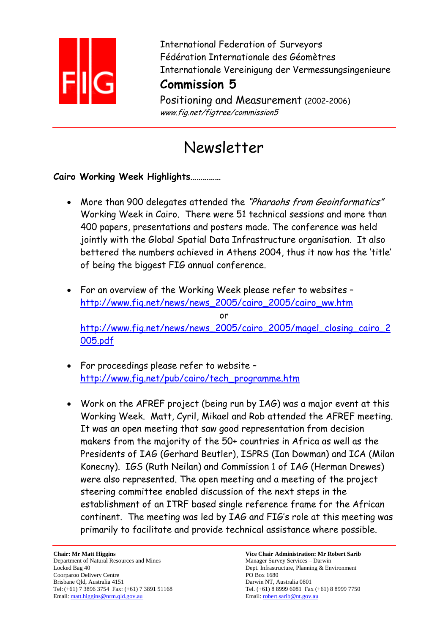

International Federation of Surveyors Fédération Internationale des Géomètres Internationale Vereinigung der Vermessungsingenieure

## **Commission 5**

Positioning and Measurement (2002-2006) www.fig.net/figtree/commission5

# Newsletter

## **Cairo Working Week Highlights……………**

- More than 900 delegates attended the "Pharaohs from Geoinformatics" Working Week in Cairo. There were 51 technical sessions and more than 400 papers, presentations and posters made. The conference was held jointly with the Global Spatial Data Infrastructure organisation. It also bettered the numbers achieved in Athens 2004, thus it now has the 'title' of being the biggest FIG annual conference.
- For an overview of the Working Week please refer to websites http://www.fig.net/news/news\_2005/cairo\_2005/cairo\_ww.htm or http://www.fig.net/news/news 2005/cairo 2005/magel closing cairo 2 005.pdf
- For proceedings please refer to website http://www.fig.net/pub/cairo/tech\_programme.htm
- Work on the AFREF project (being run by IAG) was a major event at this Working Week. Matt, Cyril, Mikael and Rob attended the AFREF meeting. It was an open meeting that saw good representation from decision makers from the majority of the 50+ countries in Africa as well as the Presidents of IAG (Gerhard Beutler), ISPRS (Ian Dowman) and ICA (Milan Konecny). IGS (Ruth Neilan) and Commission 1 of IAG (Herman Drewes) were also represented. The open meeting and a meeting of the project steering committee enabled discussion of the next steps in the establishment of an ITRF based single reference frame for the African continent. The meeting was led by IAG and FIG's role at this meeting was primarily to facilitate and provide technical assistance where possible.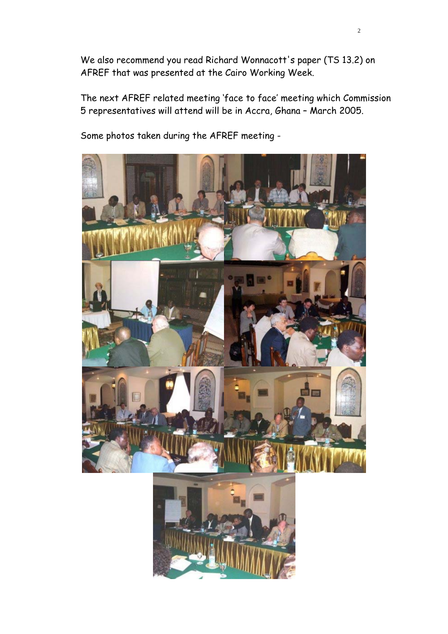We also recommend you read Richard Wonnacott's paper (TS 13.2) on AFREF that was presented at the Cairo Working Week.

The next AFREF related meeting 'face to face' meeting which Commission 5 representatives will attend will be in Accra, Ghana – March 2005.

Some photos taken during the AFREF meeting -

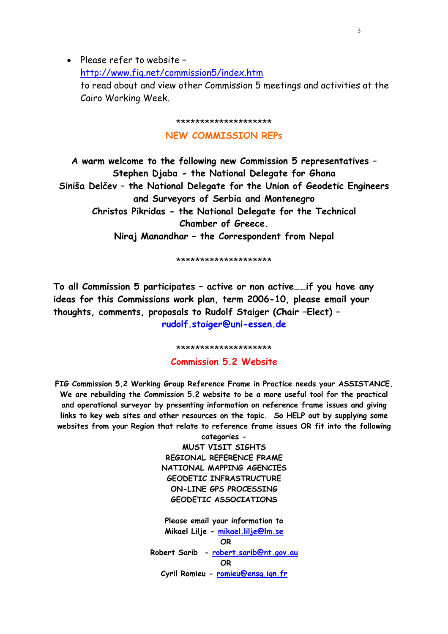• Please refer to website – http://www.fig.net/commission5/index.htm to read about and view other Commission 5 meetings and activities at the Cairo Working Week.

\*\*\*\*\*\*\*\*\*\*\*\*\*\*\*\*\*\*\*\*

#### **NEW COMMISSION REPs**

**A warm welcome to the following new Commission 5 representatives – Stephen Djaba - the National Delegate for Ghana Siniša Delčev – the National Delegate for the Union of Geodetic Engineers and Surveyors of Serbia and Montenegro Christos Pikridas - the National Delegate for the Technical Chamber of Greece. Niraj Manandhar – the Correspondent from Nepal** 

\*\*\*\*\*\*\*\*\*\*\*\*\*\*\*\*\*\*\*\*

**To all Commission 5 participates – active or non active……if you have any ideas for this Commissions work plan, term 2006-10, please email your thoughts, comments, proposals to Rudolf Staiger (Chair –Elect) – rudolf.staiger@uni-essen.de**

\*\*\*\*\*\*\*\*\*\*\*\*\*\*\*\*\*\*\*\*

**Commission 5.2 Website** 

**FIG Commission 5.2 Working Group Reference Frame in Practice needs your ASSISTANCE. We are rebuilding the Commission 5.2 website to be a more useful tool for the practical and operational surveyor by presenting information on reference frame issues and giving links to key web sites and other resources on the topic. So HELP out by supplying some websites from your Region that relate to reference frame issues OR fit into the following** 

> **categories - MUST VISIT SIGHTS REGIONAL REFERENCE FRAME NATIONAL MAPPING AGENCIES GEODETIC INFRASTRUCTURE ON-LINE GPS PROCESSING GEODETIC ASSOCIATIONS Please email your information to Mikael Lilje - mikael.lilje@lm.se OR Robert Sarib - robert.sarib@nt.gov.au OR Cyril Romieu - romieu@ensg.ign.fr**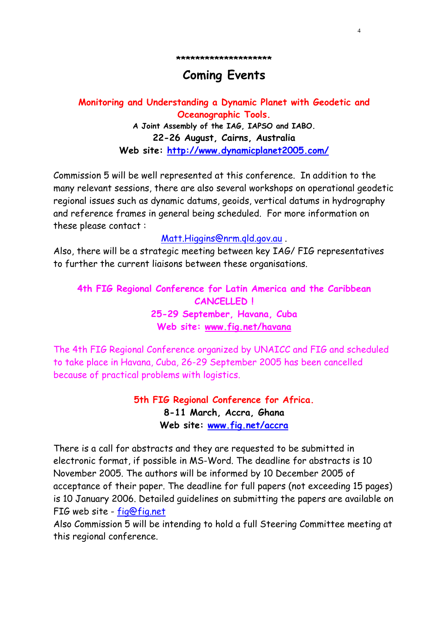**\*\*\*\*\*\*\*\*\*\*\*\*\*\*\*\*\*\*\*\*** 

4

## **Coming Events**

**Monitoring and Understanding a Dynamic Planet with Geodetic and Oceanographic Tools. A Joint Assembly of the IAG, IAPSO and IABO. 22-26 August, Cairns, Australia Web site: http://www.dynamicplanet2005.com/**

Commission 5 will be well represented at this conference. In addition to the many relevant sessions, there are also several workshops on operational geodetic regional issues such as dynamic datums, geoids, vertical datums in hydrography and reference frames in general being scheduled. For more information on these please contact :

Matt.Higgins@nrm.qld.gov.au .

Also, there will be a strategic meeting between key IAG/ FIG representatives to further the current liaisons between these organisations.

**4th FIG Regional Conference for Latin America and the Caribbean CANCELLED ! 25-29 September, Havana, Cuba Web site: www.fig.net/havana**

The 4th FIG Regional Conference organized by UNAICC and FIG and scheduled to take place in Havana, Cuba, 26-29 September 2005 has been cancelled because of practical problems with logistics.

> **5th FIG Regional Conference for Africa. 8-11 March, Accra, Ghana Web site: www.fig.net/accra**

There is a call for abstracts and they are requested to be submitted in electronic format, if possible in MS-Word. The deadline for abstracts is 10 November 2005. The authors will be informed by 10 December 2005 of acceptance of their paper. The deadline for full papers (not exceeding 15 pages) is 10 January 2006. Detailed guidelines on submitting the papers are available on FIG web site - fig@fig.net

Also Commission 5 will be intending to hold a full Steering Committee meeting at this regional conference.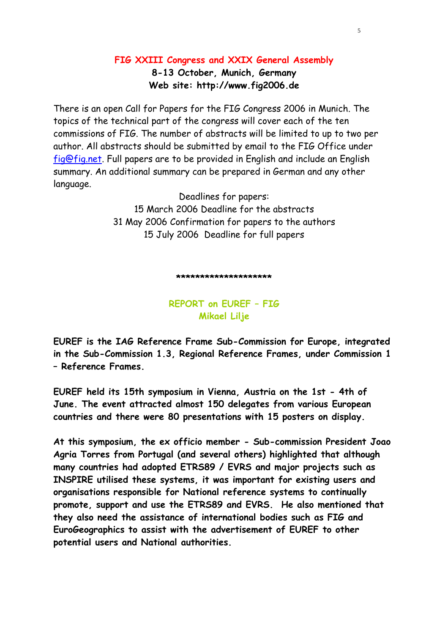### **FIG XXIII Congress and XXIX General Assembly 8-13 October, Munich, Germany Web site: http://www.fig2006.de**

There is an open Call for Papers for the FIG Congress 2006 in Munich. The topics of the technical part of the congress will cover each of the ten commissions of FIG. The number of abstracts will be limited to up to two per author. All abstracts should be submitted by email to the FIG Office under fig@fig.net. Full papers are to be provided in English and include an English summary. An additional summary can be prepared in German and any other language.

> Deadlines for papers: 15 March 2006 Deadline for the abstracts 31 May 2006 Confirmation for papers to the authors 15 July 2006 Deadline for full papers

#### **\*\*\*\*\*\*\*\*\*\*\*\*\*\*\*\*\*\*\*\***

### **REPORT on EUREF – FIG Mikael Lilje**

**EUREF is the IAG Reference Frame Sub-Commission for Europe, integrated in the Sub-Commission 1.3, Regional Reference Frames, under Commission 1 – Reference Frames.** 

**EUREF held its 15th symposium in Vienna, Austria on the 1st - 4th of June. The event attracted almost 150 delegates from various European countries and there were 80 presentations with 15 posters on display.** 

**At this symposium, the ex officio member - Sub-commission President Joao Agria Torres from Portugal (and several others) highlighted that although many countries had adopted ETRS89 / EVRS and major projects such as INSPIRE utilised these systems, it was important for existing users and organisations responsible for National reference systems to continually promote, support and use the ETRS89 and EVRS. He also mentioned that they also need the assistance of international bodies such as FIG and EuroGeographics to assist with the advertisement of EUREF to other potential users and National authorities.**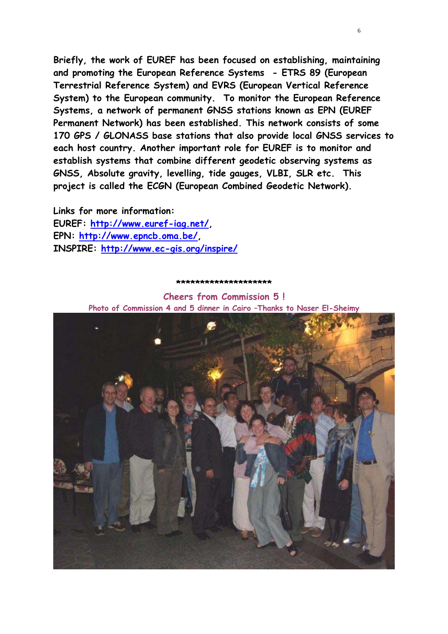**Briefly, the work of EUREF has been focused on establishing, maintaining and promoting the European Reference Systems - ETRS 89 (European Terrestrial Reference System) and EVRS (European Vertical Reference System) to the European community. To monitor the European Reference Systems, a network of permanent GNSS stations known as EPN (EUREF Permanent Network) has been established. This network consists of some 170 GPS / GLONASS base stations that also provide local GNSS services to each host country. Another important role for EUREF is to monitor and establish systems that combine different geodetic observing systems as GNSS, Absolute gravity, levelling, tide gauges, VLBI, SLR etc. This project is called the ECGN (European Combined Geodetic Network).** 

 $\sim$  6

**Links for more information: EUREF: http://www.euref-iag.net/, EPN: http://www.epncb.oma.be/, INSPIRE: http://www.ec-gis.org/inspire/**

#### **\*\*\*\*\*\*\*\*\*\*\*\*\*\*\*\*\*\*\*\***

**Cheers from Commission 5 ! Photo of Commission 4 and 5 dinner in Cairo –Thanks to Naser El-Sheimy**